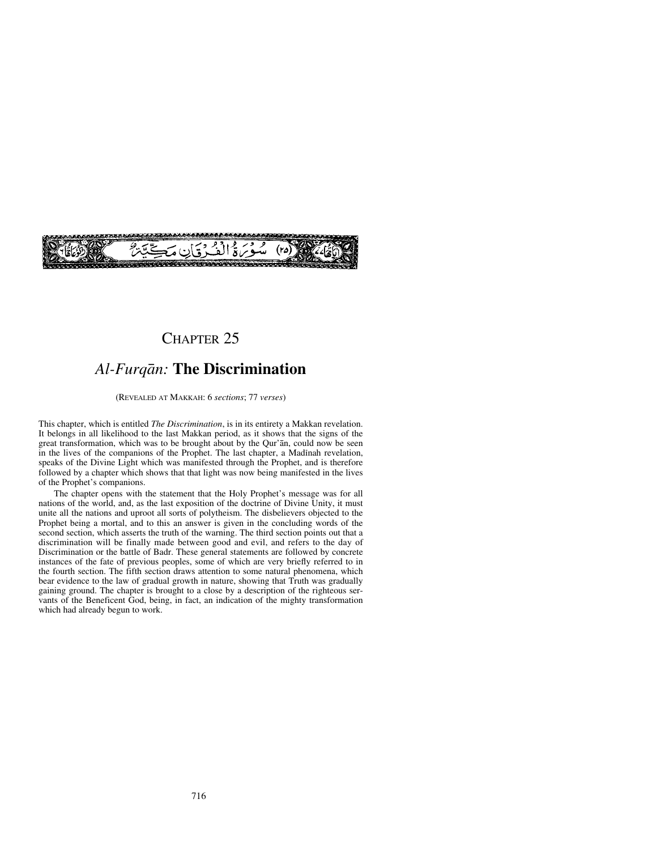

# CHAPTER 25

# *Al-Furqån:* **The Discrimination**

(REVEALED AT MAKKAH: 6 *sections*; 77 *verses*)

This chapter, which is entitled *The Discrimination*, is in its entirety a Makkan revelation. It belongs in all likelihood to the last Makkan period, as it shows that the signs of the great transformation, which was to be brought about by the Qur'ån, could now be seen in the lives of the companions of the Prophet. The last chapter, a Madinah revelation, speaks of the Divine Light which was manifested through the Prophet, and is therefore followed by a chapter which shows that that light was now being manifested in the lives of the Prophet's companions.

The chapter opens with the statement that the Holy Prophet's message was for all nations of the world, and, as the last exposition of the doctrine of Divine Unity, it must unite all the nations and uproot all sorts of polytheism. The disbelievers objected to the Prophet being a mortal, and to this an answer is given in the concluding words of the second section, which asserts the truth of the warning. The third section points out that a discrimination will be finally made between good and evil, and refers to the day of Discrimination or the battle of Badr. These general statements are followed by concrete instances of the fate of previous peoples, some of which are very briefly referred to in the fourth section. The fifth section draws attention to some natural phenomena, which bear evidence to the law of gradual growth in nature, showing that Truth was gradually gaining ground. The chapter is brought to a close by a description of the righteous servants of the Beneficent God, being, in fact, an indication of the mighty transformation which had already begun to work.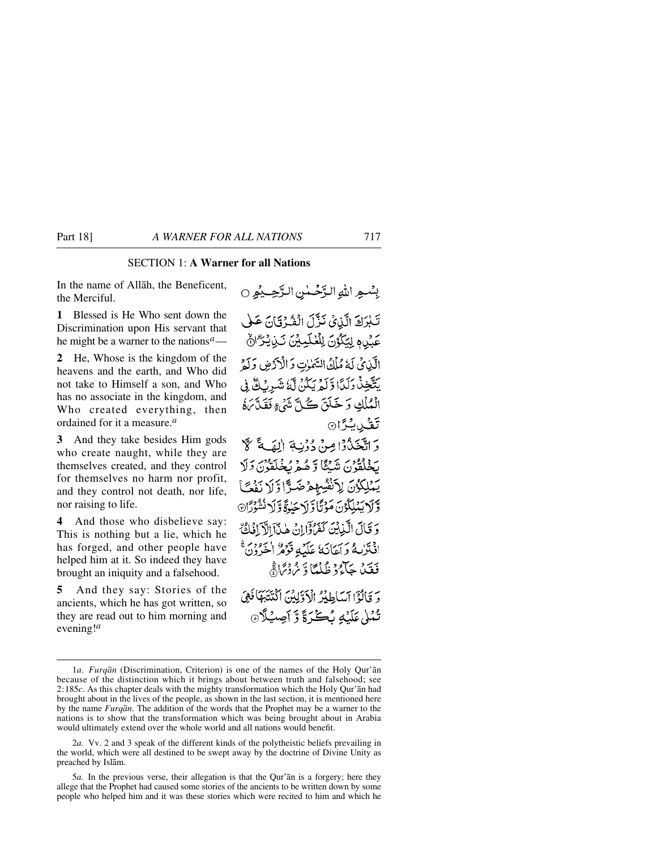## SECTION 1: **A Warner for all Nations**

In the name of Allåh, the Beneficent, the Merciful.

**1** Blessed is He Who sent down the Discrimination upon His servant that he might be a warner to the nations*a*—

**2** He, Whose is the kingdom of the heavens and the earth, and Who did not take to Himself a son, and Who has no associate in the kingdom, and Who created everything, then ordained for it a measure.*<sup>a</sup>*

**3** And they take besides Him gods who create naught, while they are themselves created, and they control for themselves no harm nor profit, and they control not death, nor life, nor raising to life.

**4** And those who disbelieve say: This is nothing but a lie, which he has forged, and other people have helped him at it. So indeed they have brought an iniquity and a falsehood.

**5** And they say: Stories of the ancients, which he has got written, so they are read out to him morning and evening!*<sup>a</sup>*

بِسْعِ اللهِ الرَّحْمٰنِ الرَّحِيْمِ ○ تَبْرَكَ الَّذِيَ نَزَّلَ الْفُرْقَانَ عَلَى عَيْدِ فِيَكْوُنَ لِلْعُلَيِينَ نَذِيْتِرٌ الْمُ الآبائي لَهُ مُلْكُ السَّمٰرٰتِ وَ الْأَدَّضِ وَلَهُ يَتَّخِذُ دَلَدًا وَّلَّهُ يَكُنُّ لَّهُ شَرِيْكُ فِي الْمُلْكِ وَخَلَقَ كُلَّ شَيْءٍ فَقَدَّمَهُ تَقُّبِيتِرَا۞ وَ اتَّخَذُوْا مِنْ دُوْنِيَةِ إِلٰهَي قَبِ لَا بَخْلَقُونَ شَبْكًا وَّهُمْ بُخْلَقُوْنَ وَلَا يَمْلِكُونَ لِاَنْفُسِهِمْ ضَدًّا وَلَا نَفْتَ وَّ لَا يَمْلِكُوْنَ مَوْتَّا وَّ لَاحَيٰوَةً وَّ لَا نُشْوَدًّا وَ قَالَ الَّذِينَ كَفَرُدَّانَ هٰذَآ الْآيَانُ كَمَّ افْتَرْبِيةً وَآيَانَهُ عَلَيْهِ قَوْمُرْ اجْرُدُنَّ فَقَيْدُ جَآءُ دْ ظُلْعًا دّْ يُرْدْيَمَا فَجْ دَ وَبَالَوْٓا آسَاطِدُرُ الْآوَلِيْنَ اكْتَتَبَهَآ فَهِيَ تُمْلِيٰ عَلَيْهِ يُكُنِّ وَّ أَصِيبُلَاهِ

<sup>1</sup>*a.Furqån* (Discrimination, Criterion) is one of the names of the Holy Qur'ån because of the distinction which it brings about between truth and falsehood; see 2:185*c*. As this chapter deals with the mighty transformation which the Holy Qur'ån had brought about in the lives of the people, as shown in the last section, it is mentioned here by the name *Furqån*. The addition of the words that the Prophet may be a warner to the nations is to show that the transformation which was being brought about in Arabia would ultimately extend over the whole world and all nations would benefit.

<sup>2</sup>*a.* Vv. 2 and 3 speak of the different kinds of the polytheistic beliefs prevailing in the world, which were all destined to be swept away by the doctrine of Divine Unity as preached by Islåm.

<sup>5</sup>*a.* In the previous verse, their allegation is that the Qur'ån is a forgery; here they allege that the Prophet had caused some stories of the ancients to be written down by some people who helped him and it was these stories which were recited to him and which he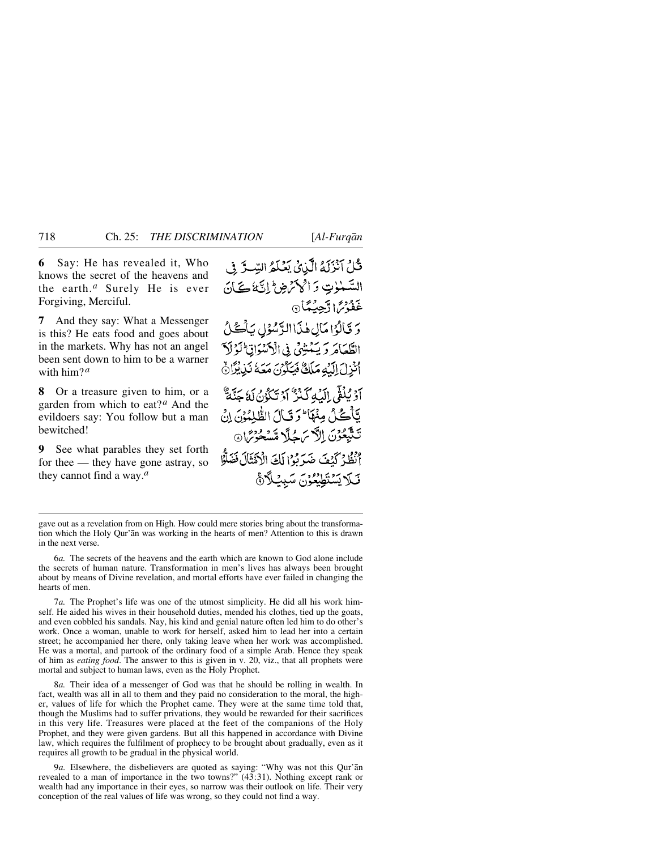**6** Say: He has revealed it, Who knows the secret of the heavens and the earth.*<sup>a</sup>* Surely He is ever Forgiving, Merciful.

**7** And they say: What a Messenger is this? He eats food and goes about in the markets. Why has not an angel been sent down to him to be a warner with him?*<sup>a</sup>*

**8** Or a treasure given to him, or a garden from which to eat?*<sup>a</sup>* And the evildoers say: You follow but a man bewitched!

**9** See what parables they set forth for thee — they have gone astray, so they cannot find a way.*<sup>a</sup>*

قُلْ آنْزَلَهُ الَّذِيْ يَعْلَمُ السِّيَّ فِي السَّنْوٰتِ وَالْحَمَّ ضِ الثَّائَاتَ الْمُ غَفُوْسٌ ( دَّجِيبُهَّا ۞ دَ قَالُوۡ(مَالِ هٰذَاالدَّسُوۡ) يَأۡكُنُّ الطَّعَامَ وَيَتَنْشِيُّ فِي الْأَسْوَانِ لَوْلَا أَنْزِلَ إِلَيْهِ مَلَكٌ فَيَكُونَ مَعَهُ نَذِيْذَانٌ آؤَيُلُقَى إِلَيْهِ كَنْزٌ أَوْ تَكْوُنُ لَهُ جَنَّةٌ يَّأْكُلُ مِنْهَا ۚ وَقَالَ الظُّلِمُونَ إِنَّ تَتَّبِعُونَ إِلَّاسَ حُلَّا مَّسْحُرْسَا أَنْظُلُ كَيْفَ ضَدَيْدُ إِلَيْ الْأَهْتَالَ نَضَلُّوا قَلَا يَسْتَطِيعُونَ سَبِئَلَارَ

7*a.* The Prophet's life was one of the utmost simplicity. He did all his work himself. He aided his wives in their household duties, mended his clothes, tied up the goats, and even cobbled his sandals. Nay, his kind and genial nature often led him to do other's work. Once a woman, unable to work for herself, asked him to lead her into a certain street; he accompanied her there, only taking leave when her work was accomplished. He was a mortal, and partook of the ordinary food of a simple Arab. Hence they speak of him as *eating food*. The answer to this is given in v. 20, viz., that all prophets were mortal and subject to human laws, even as the Holy Prophet.

8*a.* Their idea of a messenger of God was that he should be rolling in wealth. In fact, wealth was all in all to them and they paid no consideration to the moral, the higher, values of life for which the Prophet came. They were at the same time told that, though the Muslims had to suffer privations, they would be rewarded for their sacrifices in this very life. Treasures were placed at the feet of the companions of the Holy Prophet, and they were given gardens. But all this happened in accordance with Divine law, which requires the fulfilment of prophecy to be brought about gradually, even as it requires all growth to be gradual in the physical world.

9*a.* Elsewhere, the disbelievers are quoted as saying: "Why was not this Qur'ån revealed to a man of importance in the two towns?" (43:31). Nothing except rank or wealth had any importance in their eyes, so narrow was their outlook on life. Their very conception of the real values of life was wrong, so they could not find a way.

gave out as a revelation from on High. How could mere stories bring about the transformation which the Holy Qur'ån was working in the hearts of men? Attention to this is drawn in the next verse.

<sup>6</sup>*a.* The secrets of the heavens and the earth which are known to God alone include the secrets of human nature. Transformation in men's lives has always been brought about by means of Divine revelation, and mortal efforts have ever failed in changing the hearts of men.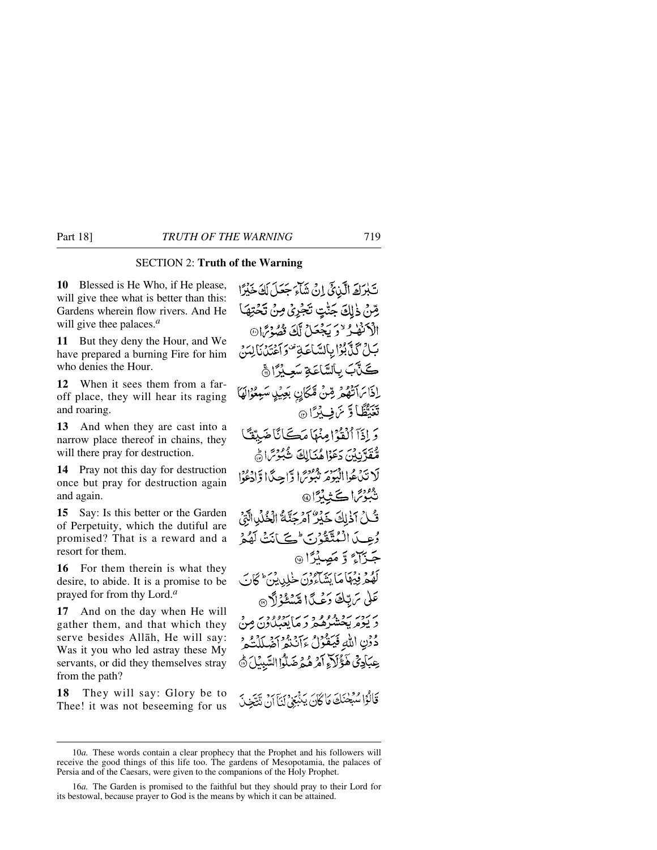## SECTION 2: **Truth of the Warning**

**10** Blessed is He Who, if He please, will give thee what is better than this: Gardens wherein flow rivers. And He will give thee palaces.*<sup>a</sup>*

**11** But they deny the Hour, and We have prepared a burning Fire for him who denies the Hour.

**12** When it sees them from a faroff place, they will hear its raging and roaring.

**13** And when they are cast into a narrow place thereof in chains, they will there pray for destruction.

**14** Pray not this day for destruction once but pray for destruction again and again.

**15** Say: Is this better or the Garden of Perpetuity, which the dutiful are promised? That is a reward and a resort for them.

**16** For them therein is what they desire, to abide. It is a promise to be prayed for from thy Lord.*<sup>a</sup>*

**17** And on the day when He will gather them, and that which they serve besides Allåh, He will say: Was it you who led astray these My servants, or did they themselves stray from the path?

**18** They will say: Glory be to Thee! it was not beseeming for us

تَبْرَكَ الَّذِيَّ إِنَّ شَآءَ جَعَلَ لَكَ خَيْرًا رِّسْ ذٰلِكَ جَنُّتٍ تَجْرِيْ مِنْ تَحْتِهَا الْأَنْفُذُ "دَيْجُعَلْ لَكَ قُصُّرْتًا® بَيْنَ كَيْأَبُوْا بِبَالِسَّاعَةِ مُحَوَّجَةَ مَانِينَ إِيْدَبِي كَلَّآبَ بِالسَّاعَةِ سَعِيْرًا ۞ إذَا مَاتَهُمْ مِّنْ مَّكَانِ بَعِيْلِ سَبِعُوْالَهَا تَغَيَّظًا وَّ ئَنْ فِي بِيْرًا ۞ وَ إِذَآ ٱلۡقَوۡمٰٓ إِمِنۡهَآ مَڪَائَاۡ ضَبِيۡقَـٗٓا مُّقَدَّنِيْنَ دَعَوْاهُنَالِكَ شُبُوْسًاهُ لَا تَدْعُواالْيَوْمَرَ تَبُوْسً الرَّاحِيدًا وَّإِذْعُوْا شُكِّرْتَهَاڪَ نِينَّ تُكِنُ آذٰلِكَ خَيْرٌ آمْرِجَنَّكُ الْخُلْدِالَّةِ، رُعِيدَ الْمُتَّقَوْرِ بِ حِيَى أَنَتْ لَهُمْ جَزَآءٌ وَ مَصِيْرًا ۞ كَهُمْ فِيهِمَا مَا بِيَبْهِ وَنَ خَلِيدِيْنَ ۚ كَانَ عَلَىٰ سَ تِبْكَ دَعْبِدًا مِّينَكُمْ؟ بربرد برو وو و بر بربروور<br>د پومریخشرهم و مایعبگاون مِنْ دُوْنِ اللَّهِ فَيَقُوْلُ ءَآنَنُهُمْ أَضَلَلْنَكُمْ عِبَادِيٌّ هَؤُلَاءِ أَمْرِ هُمْ ضَلُّوا السَّبِيْلَ ۞ قَالُوْا سُبْحْنَكَ مَا كَانَ يَنْبَغِي لَنَا آنَ تَتَّخِذَ

<sup>10</sup>*a.* These words contain a clear prophecy that the Prophet and his followers will receive the good things of this life too. The gardens of Mesopotamia, the palaces of Persia and of the Caesars, were given to the companions of the Holy Prophet.

<sup>16</sup>*a.* The Garden is promised to the faithful but they should pray to their Lord for its bestowal, because prayer to God is the means by which it can be attained.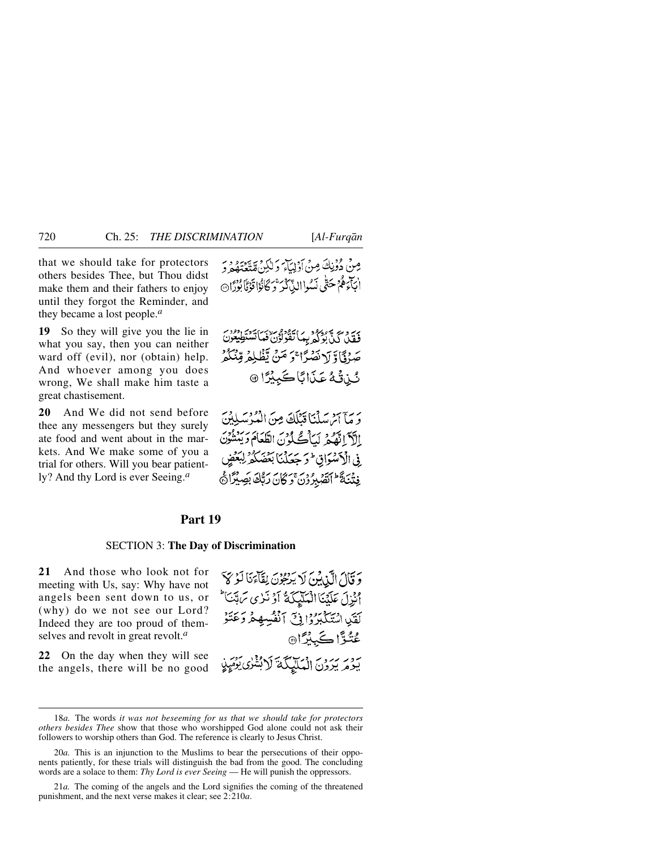that we should take for protectors others besides Thee, but Thou didst make them and their fathers to enjoy until they forgot the Reminder, and they became a lost people.*<sup>a</sup>*

**19** So they will give you the lie in what you say, then you can neither ward off (evil), nor (obtain) help. And whoever among you does wrong, We shall make him taste a great chastisement.

**20** And We did not send before thee any messengers but they surely ate food and went about in the markets. And We make some of you a trial for others. Will you bear patiently? And thy Lord is ever Seeing.*<sup>a</sup>*

مِينْ دُوْنِكَ مِنْ أَدْلِيَاتِهِ دَلِكِنْ قَدْيَةٍ وَ دِ ابْتَاءِهُمْ حَتَّىٰ نَسُواالذِّيكْدُ بِحَرِّ كَانُوْا قَوْمًا بُوْرًا۞

بِيَّ دِينٍ بِهِ دِينٍ وَلَى بِيمَا تَقْوَلُوْنٌ فَعَاتَسْتَطِيعُونَ صَرْفَاًوَّ لَانْصُرًا ۚ وَ مَنْ يَّظْلِمُ قِنْكُمْ شُن تَّكُمُّ عَذَابًا كَبِيْرًا ۞

ريم من سَلْنَا قَنْلَكَ مِنَ الْمُدْسَلِينَ الآدَّ اتَّفْسُرْ يَسَانُّكُ لِمُ بِنَ الطَّعَامَ دَيَنْشُونَ ِفِي الْأَكْتُبَوَاقِ ۖ وَجَعَلْنَا بَعْضَكُمْ لِبَعْ فِتْنَةً الصَّبِرُوْنَ وَكَانَ رَبَّكَ بَصِيْرًا هَي

### Part 19

#### SECTION 3: **The Day of Discrimination**

**21** And those who look not for meeting with Us, say: Why have not angels been sent down to us, or (why) do we not see our Lord? Indeed they are too proud of themselves and revolt in great revolt.*<sup>a</sup>*

**22** On the day when they will see the angels, there will be no good

وَقَالَ الَّذِينَ لَا يَرْجُوْنَ لِقَاءَنَا لَوْ كَا اْنْزِلَ عَلَيْنَا الْمَلَيْكَةُ أَوْ نَزِي سَهِّيَا ۖ لَقَيْبِ اسْتَكْبَرُوْا فِيّ آنْفُسِهِمْ وَعَتَوْ عُنُوَّا ڪَبِيُرَّا® بردير برون المكليكة لابشري بَهْيَنِي

<sup>18</sup>*a.* The words *it was not beseeming for us that we should take for protectors others besides Thee* show that those who worshipped God alone could not ask their followers to worship others than God. The reference is clearly to Jesus Christ.

<sup>20</sup>*a.* This is an injunction to the Muslims to bear the persecutions of their opponents patiently, for these trials will distinguish the bad from the good. The concluding words are a solace to them: *Thy Lord is ever Seeing* — He will punish the oppressors.

<sup>21</sup>*a.* The coming of the angels and the Lord signifies the coming of the threatened punishment, and the next verse makes it clear; see 2:210*a*.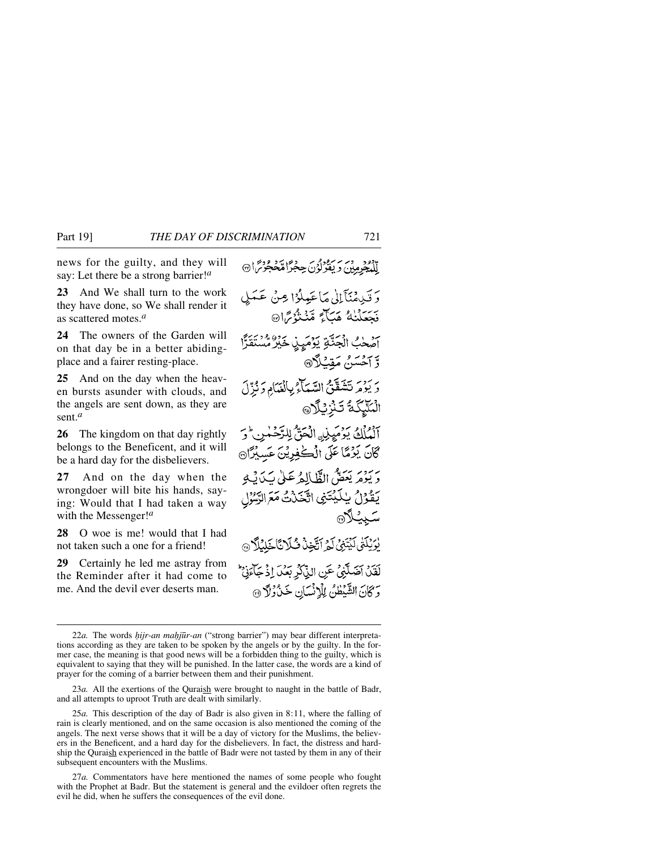news for the guilty, and they will say: Let there be a strong barrier!*<sup>a</sup>*

**23** And We shall turn to the work they have done, so We shall render it as scattered motes.*<sup>a</sup>*

**24** The owners of the Garden will on that day be in a better abidingplace and a fairer resting-place.

**25** And on the day when the heaven bursts asunder with clouds, and the angels are sent down, as they are sent.*<sup>a</sup>*

**26** The kingdom on that day rightly belongs to the Beneficent, and it will be a hard day for the disbelievers.

**27** And on the day when the wrongdoer will bite his hands, saying: Would that I had taken a way with the Messenger!*<sup>a</sup>*

**28** O woe is me! would that I had not taken such a one for a friend!

**29** Certainly he led me astray from the Reminder after it had come to me. And the devil ever deserts man.

وَتَدِمْنَآلِلْ مَاعَيْلُوْا مِنْ عَمَلٍ فَجَعَلْنَاهُ هَبَاءٌ مِّنْتُوْتِرَانَ آصُحْبُ الْجَنَّةِ يَوْمَيِنِ خَيْرٌ مُّسْتَقَرَّا وَّ آَحْسَنُ مَقِيْلًا۞ وَ يَوْمَرْ تَتَقَفَّنَّ السَّمَآءُ بِالْغَمَّامِ وَنُزِّلَ الْمَلَّيْكَةُ تَـٰزِّرِيْلَا ﴾ آلْمُلُكُ يَوْمَيِزِنِ الْحَقِّ لِلرَّحْمٰنِ ۚ وَ كَانَ يَوْمًا عَلَى الْكَٰفِرِيْنَ عَسِيْرًا۞ بريزه بيحقي الظّالِهُ عَلَىٰ سَدَيْبُهِ يُقُوْلُ بِلَكِبْتَنِي اتَّخَذْتُ مَعَ الرَّسُوْلِ سَبِيُلَا® يْرَيْلَنِّي لَيْتَنِيُّ لَمِ ٱتَّخِذْ ثُلَانَّا خَلِيْلًا ۞ لَقَدْ آضَلَّنِيَّ عَنِ الذِّكْرِ بَعْدَ إِذْ جَآءَنِّ وَكَانَ الشَّيْطُنُ لِلْإِنْسَانِ خَنْ رُلَّا ۞

للجومين ريفونون حِجَرًا مُحَجَّزَتِهِ مِنْ الْهَ

<sup>22</sup>a. The words *hijr-an mahjūr-an* ("strong barrier") may bear different interpretations according as they are taken to be spoken by the angels or by the guilty. In the former case, the meaning is that good news will be a forbidden thing to the guilty, which is equivalent to saying that they will be punished. In the latter case, the words are a kind of prayer for the coming of a barrier between them and their punishment.

<sup>23</sup>*a.* All the exertions of the Quraish were brought to naught in the battle of Badr, and all attempts to uproot Truth are dealt with similarly.

<sup>25</sup>*a.* This description of the day of Badr is also given in 8:11, where the falling of rain is clearly mentioned, and on the same occasion is also mentioned the coming of the angels. The next verse shows that it will be a day of victory for the Muslims, the believers in the Beneficent, and a hard day for the disbelievers. In fact, the distress and hardship the Quraish experienced in the battle of Badr were not tasted by them in any of their subsequent encounters with the Muslims.

<sup>27</sup>*a.* Commentators have here mentioned the names of some people who fought with the Prophet at Badr. But the statement is general and the evildoer often regrets the evil he did, when he suffers the consequences of the evil done.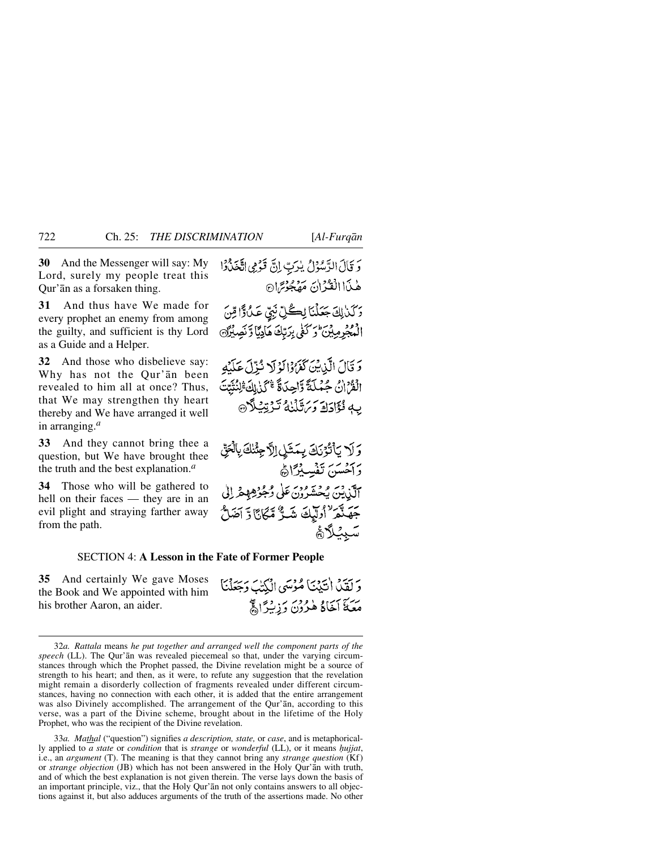**30** And the Messenger will say: My Lord, surely my people treat this Qur'ån as a forsaken thing.

**31** And thus have We made for every prophet an enemy from among the guilty, and sufficient is thy Lord as a Guide and a Helper.

**32** And those who disbelieve say: Why has not the Qur'ån been revealed to him all at once? Thus, that We may strengthen thy heart thereby and We have arranged it well in arranging.*<sup>a</sup>*

**33** And they cannot bring thee a question, but We have brought thee the truth and the best explanation.*<sup>a</sup>*

**34** Those who will be gathered to hell on their faces — they are in an evil plight and straying farther away from the path.

وَتَالَ الرَّسُوْلُ يُرَبِّ إِنَّ قَوْمِي اتَّخَذُوْا هٰذَا الْقُرْآنَ مَهْجُوْتِرَانَ

وَكَنَالِكَ جَعَلْنَا لِكُلِّ نَبِيِّ عَلَىٰ وَّا قِنَ الْمُجْرِمِينَ وَكَفَى بِرَبِّكَ هَادِيًّا وَنَصِيْرًا

5 قَالَ الَّذِيْنَ كَمَرُوْالَوْلَا نُزِّلَ عَلَيْهِ الْقُرْانُ جُمْلَةً وَّاحِدَةً \*كَنْ الْهَ ْلِنُّنَّتَ بِهِ فُؤَادَادَ دَيَنَتَلْنَٰهُ تَدْتِيْبِلَاْنَ

وَلَا يَأْتُوْنَكَ بِمَثَلِ اِلَّا جِئْنَكَ بِالْحَقِّ وَأَحْسَنَ تَفْسِيْرًاهُمْ آلَوْيِيْنَ يُحْشَرُونَ عَلَى وُجُوْهِهِمْ إِلَى جَهَنْدَ ْاوْلِيْكَ شَـٰدٌّ مَّكَانَّا وَّ آضَلُّ سَبِئْلَاهُمْ

وَ لَقَدْنَ أَنَيْنَنَا مُؤْسَى الْكُتْبَ وَجَعَلْنَا

يَّتَهُمْ أَخَاكُمْ هٰذُرُنَ وَزِيْبِرًا ﴾

#### SECTION 4: **A Lesson in the Fate of Former People**

**35** And certainly We gave Moses the Book and We appointed with him his brother Aaron, an aider.

33*a.Mathal* ("question") signifies *a description, state,* or *case*, and is metaphorically applied to *a state* or *condition* that is *strange* or *wonderful* (LL), or it means *√ujjat*, i.e., an *argument* (T). The meaning is that they cannot bring any *strange question* (Kf) or *strange objection* (JB) which has not been answered in the Holy Qur'ån with truth, and of which the best explanation is not given therein. The verse lays down the basis of an important principle, viz., that the Holy Qur'ån not only contains answers to all objections against it, but also adduces arguments of the truth of the assertions made. No other

<sup>32</sup>*a.Rattala* means *he put together and arranged well the component parts of the speech* (LL). The Qur'ån was revealed piecemeal so that, under the varying circumstances through which the Prophet passed, the Divine revelation might be a source of strength to his heart; and then, as it were, to refute any suggestion that the revelation might remain a disorderly collection of fragments revealed under different circumstances, having no connection with each other, it is added that the entire arrangement was also Divinely accomplished. The arrangement of the Qur'ån, according to this verse, was a part of the Divine scheme, brought about in the lifetime of the Holy Prophet, who was the recipient of the Divine revelation.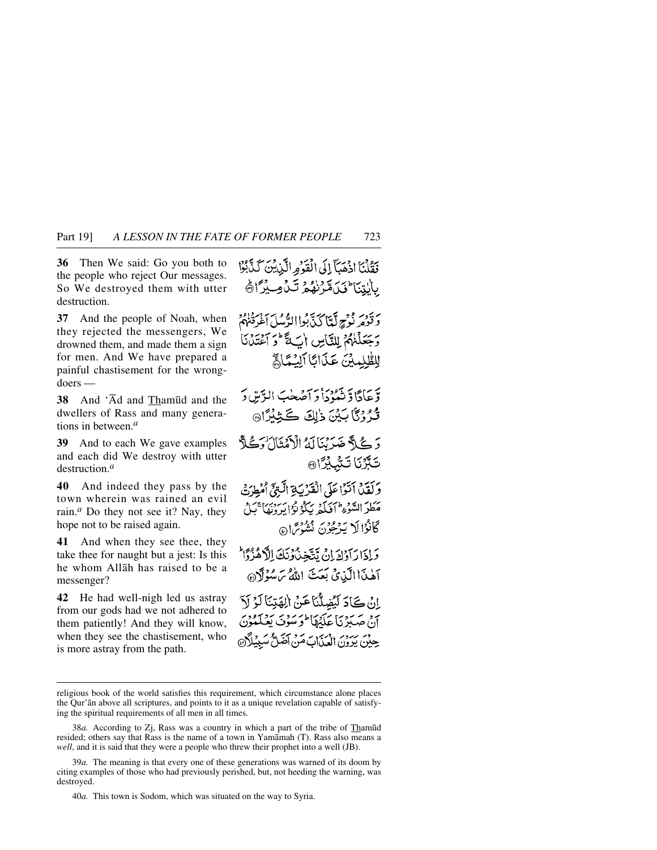**36** Then We said: Go you both to the people who reject Our messages. So We destroyed them with utter destruction.

**37** And the people of Noah, when they rejected the messengers, We drowned them, and made them a sign for men. And We have prepared a painful chastisement for the wrongdoers —

**38** And 'Ad and Thamūd and the dwellers of Rass and many generations in between.*<sup>a</sup>*

**39** And to each We gave examples and each did We destroy with utter destruction.*<sup>a</sup>*

**40** And indeed they pass by the town wherein was rained an evil rain.*<sup>a</sup>* Do they not see it? Nay, they hope not to be raised again.

**41** And when they see thee, they take thee for naught but a jest: Is this he whom Allåh has raised to be a messenger?

**42** He had well-nigh led us astray from our gods had we not adhered to them patiently! And they will know, when they see the chastisement, who is more astray from the path.

فَقُلْنَا اذْهَبَآ إِلَى الْقَدْمِ الَّذِينَ كَذَّبُوْا بالتنا فكامترنه وتساويل

بِرَدَّيْهِ تَدَامَلَ أَنَّا كَذَّبُوا الدَّمْيلَ أَغْرَقْنَهُمْ وَجَعَلْنَهُمْ لِلتَّاسِ أَبَ لَقَّ فَوَ أَعْتَدْنَا للظلمين عَذَانَا آلِسُمَاءً

وَّعَادًاوَّ نَهْدُدَاْ دَاَصۡعَٰبَ الرَّسِّ دَ قُدُوْنَا بَيْنَ ذٰلِكَ كَثِيْدًا۞

وَ كَيْ هَذِينَا لَهُ الْأَمْثَانَ وَكَيْ أَ كَبَّرْنَا تَشْكِرًا @

وَلَقَلْ آتَوْاعَلَى الْقَدْبَةِ الَّتِيِّ أُمْطِرَجْ مَطَرَ السَّوْءِ ۖ أَفَيَكُمْ رَبِّكُوْ رُدَابِرَ دَنِيَا ۚ بَيْلُ كَانْدُالَا بَدْعُونَ بِيْنُوسَ ۞

وَلِذَا رَآوَكَ إِنْ يَتَّخِذُونَكَ الْأَهْزُوًا آهٰنَاالَّذِينَ بَعَثَ اللهُ تَرَسُوْلَا®

اِنْ كَادَ لَيُضِلُّنَا عَنْ الِهَتِنَا لَوْ لَا أَنْ صِبَيْرَ بِمَا عَلَيْهَا لَوَ سَوْيَ يَعْلَمُوْنَ حِيْنَ يَدَوْنَ الْعَذَابَ مَنْ آَمَنٌ مَسْبِيْلًا۞

religious book of the world satisfies this requirement, which circumstance alone places the Qur'ån above all scriptures, and points to it as a unique revelation capable of satisfying the spiritual requirements of all men in all times.

<sup>38</sup>*a*. According to Zj, Rass was a country in which a part of the tribe of Thamūd resided; others say that Rass is the name of a town in Yamåmah (T). Rass also means a *well*, and it is said that they were a people who threw their prophet into a well (JB).

<sup>39</sup>*a.* The meaning is that every one of these generations was warned of its doom by citing examples of those who had previously perished, but, not heeding the warning, was destroyed.

<sup>40</sup>*a.* This town is Sodom, which was situated on the way to Syria.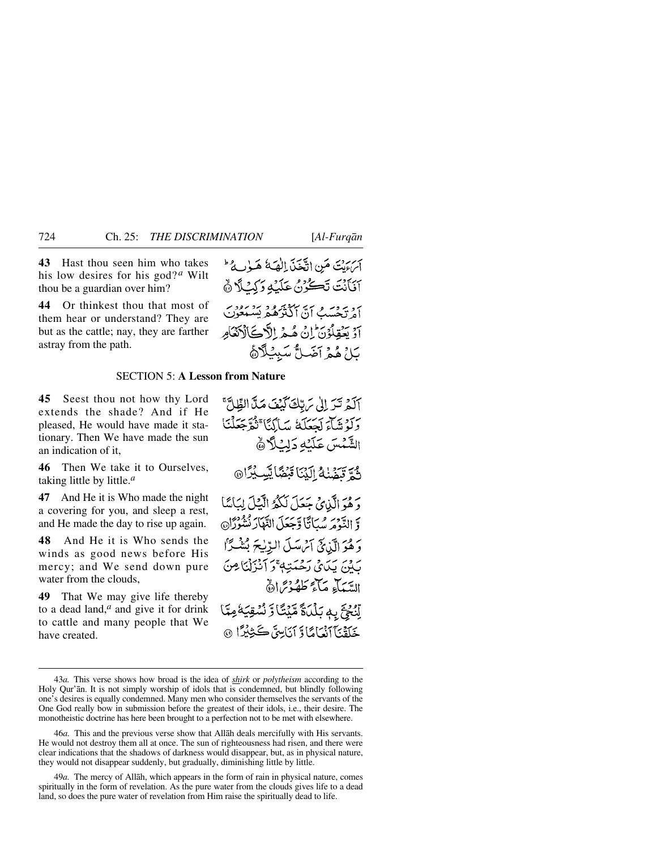**43** Hast thou seen him who takes his low desires for his god? *<sup>a</sup>* Wilt thou be a guardian over him?

**44** Or thinkest thou that most of them hear or understand? They are but as the cattle; nay, they are farther astray from the path.

أبرع بنَ مَنِ اتَّحَنَّدَ الْهَةُ هَـوٰبِهُ ۖ آنَأَنْتَ تَكُرُنُ عَلَيْهِ رَكِنْ لَا هُ ہرویہ وسر میں ہیں ہے۔<br>اور دیکھیے ان ایکٹر کھیے تشبیعون آدْ يَعْقِلُوْنَ إِنْ هُبِهِ الْأَدْنَىٰٓاْدَنْعَامِ بَلْ هُمْ آضَىلُّ سَبِيْلًاهُ

### SECTION 5: **A Lesson from Nature**

**45** Seest thou not how thy Lord extends the shade? And if He pleased, He would have made it stationary. Then We have made the sun an indication of it,

**46** Then We take it to Ourselves, taking little by little.*<sup>a</sup>*

**47** And He it is Who made the night a covering for you, and sleep a rest, and He made the day to rise up again.

**48** And He it is Who sends the winds as good news before His mercy; and We send down pure water from the clouds

**49** That We may give life thereby to a dead land,*<sup>a</sup>* and give it for drink to cattle and many people that We have created.

آلَمْ تَرَ إِلَىٰ مَرِبِّكَ كَيْفَ مَنَّ الظِّلَّ بِرَدِيْهَاءَ لَحْمَلَكُ سَالِكًا تَثْقَرْجَعَلْنَا الشَّمْسَ عَلَيْهِ دَلِيْلًا ﴾ نُدَّ تَنَفَّنْهُ الَّذَا قَبْضًا يَّبِ بِٰرًا۞ يَّ مِنْ الَّذِينَ جَعَلَ لَكُمُّ الَّذِلَ لِبَاٰمًا وَّ النَّوْمَ سُبَاتًا وَّجَعَلَ النَّهَارَ نُشْوُرًا۞ وَهُوَ الَّذِيَّ آَمْ سَلَّ البِّنِيحَ بُشْكِّاً روى يكافى رَحْمَتِهِ ۚ وَ أَنْزَلْنَا مِنَ الدَّيْبَآءِ مَآءَ كَلَّهُ دُيَّرَارَةٌ

أَوْفِجَ بِهِ بَلْدَةٌ مَّيْتًا وَّ نُسْقِيَةُ مِمَّا جَلَقْنَآ ٱنْعَامَاۤ وَٓ ٱنَاسِقَ ڪَثِنْثِرًا ۞

<sup>43</sup>*a.* This verse shows how broad is the idea of *shirk* or *polytheism* according to the Holy Qur'ån. It is not simply worship of idols that is condemned, but blindly following one's desires is equally condemned. Many men who consider themselves the servants of the One God really bow in submission before the greatest of their idols, i.e., their desire. The monotheistic doctrine has here been brought to a perfection not to be met with elsewhere.

<sup>46</sup>*a.* This and the previous verse show that Allåh deals mercifully with His servants. He would not destroy them all at once. The sun of righteousness had risen, and there were clear indications that the shadows of darkness would disappear, but, as in physical nature, they would not disappear suddenly, but gradually, diminishing little by little.

<sup>49</sup>*a.* The mercy of Allåh, which appears in the form of rain in physical nature, comes spiritually in the form of revelation. As the pure water from the clouds gives life to a dead land, so does the pure water of revelation from Him raise the spiritually dead to life.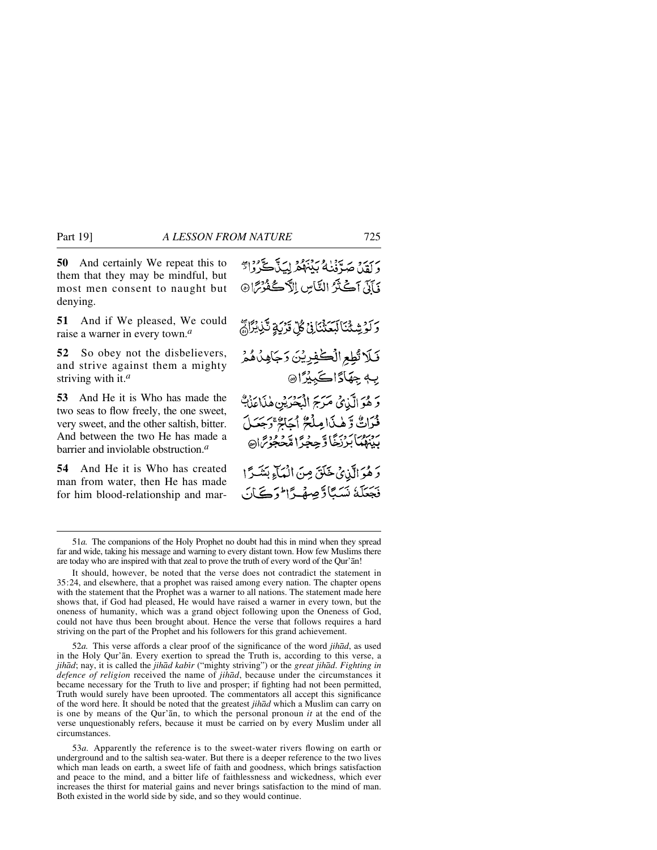**50** And certainly We repeat this to them that they may be mindful, but most men consent to naught but denying.

**51** And if We pleased, We could raise a warner in every town.*<sup>a</sup>*

**52** So obey not the disbelievers, and strive against them a mighty striving with it.*<sup>a</sup>*

**53** And He it is Who has made the two seas to flow freely, the one sweet, very sweet, and the other saltish, bitter. And between the two He has made a barrier and inviolable obstruction.*<sup>a</sup>*

**54** And He it is Who has created man from water, then He has made for him blood-relationship and mar-

52*a.* This verse affords a clear proof of the significance of the word *jihåd*, as used in the Holy Qur'ån. Every exertion to spread the Truth is, according to this verse, a *jihād*; nay, it is called the *jihād kabīr* ("mighty striving") or the *great jihād. Fighting in defence of religion* received the name of *jihåd*, because under the circumstances it became necessary for the Truth to live and prosper; if fighting had not been permitted, Truth would surely have been uprooted. The commentators all accept this significance of the word here. It should be noted that the greatest *jihåd* which a Muslim can carry on is one by means of the Qur'ån, to which the personal pronoun *it* at the end of the verse unquestionably refers, because it must be carried on by every Muslim under all circumstances.

53*a.* Apparently the reference is to the sweet-water rivers flowing on earth or underground and to the saltish sea-water. But there is a deeper reference to the two lives which man leads on earth, a sweet life of faith and goodness, which brings satisfaction and peace to the mind, and a bitter life of faithlessness and wickedness, which ever increases the thirst for material gains and never brings satisfaction to the mind of man. Both existed in the world side by side, and so they would continue.

ىرىر ئىرتىنىڭ بېيىھ لِيكَ گَرُوارَّ يَأَتِي آَكَيْتُرُ النَّاسِ الْآَكَعُوْرَا۞ وَلَوْشِئْنَالَبَعَثْنَانِي كُلِّ قَرْبَةٍ تَّذِيْرًا مَّ قَلَا تُطِعِ الْكَفِرِيْنَ رَجَاهِدُهُمْ بِهِ جِهَادًاكَبِيْرًا۞ وَهُوَالَّذِيْ مَرَجَ الْبَحْرَيْنِ هٰذَاعَذَبَّ فُرَاتٌ وَّهٰذَا مِلْحٌ أَجَاجٌ وَجَعَلَ ڔڔ؈؉ۥ<br>ؠۑڹۿؙؠٵؘڹڒڒؘڂٞٵڐڝؚڿۯٵڡڂڿ*ۏ؆*۫ٳ۞ وَهُوَالَّذِيْ خَلَقَ مِنَ الْمَآءِ بَشَرًا فَجَعَلَهُ نَسَبًا ذَّصِهْدًا \* دَسَيَانَ

<sup>51</sup>*a.* The companions of the Holy Prophet no doubt had this in mind when they spread far and wide, taking his message and warning to every distant town. How few Muslims there are today who are inspired with that zeal to prove the truth of every word of the Qur'ån!

It should, however, be noted that the verse does not contradict the statement in 35:24, and elsewhere, that a prophet was raised among every nation. The chapter opens with the statement that the Prophet was a warner to all nations. The statement made here shows that, if God had pleased, He would have raised a warner in every town, but the oneness of humanity, which was a grand object following upon the Oneness of God, could not have thus been brought about. Hence the verse that follows requires a hard striving on the part of the Prophet and his followers for this grand achievement.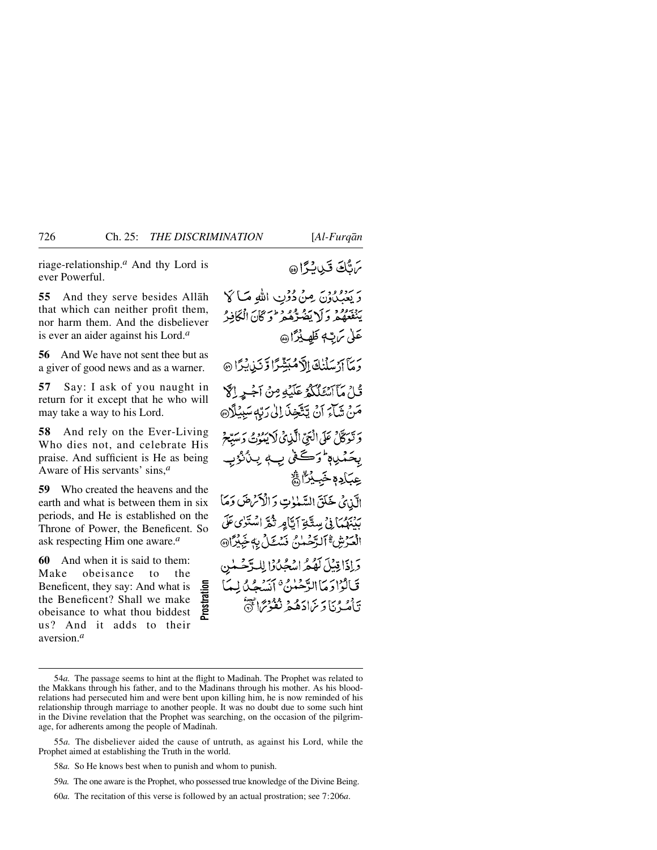riage-relationship.*<sup>a</sup>* And thy Lord is ever Powerful.

**55** And they serve besides Allåh that which can neither profit them, nor harm them. And the disbeliever is ever an aider against his Lord.*<sup>a</sup>*

**56** And We have not sent thee but as a giver of good news and as a warner.

**57** Say: I ask of you naught in return for it except that he who will may take a way to his Lord.

**58** And rely on the Ever-Living Who dies not, and celebrate His praise. And sufficient is He as being Aware of His servants' sins,*<sup>a</sup>*

**59** Who created the heavens and the earth and what is between them in six periods, and He is established on the Throne of Power, the Beneficent. So ask respecting Him one aware.*<sup>a</sup>*

**60** And when it is said to them:<br>Make obeisance to the obeisance Beneficent, they say: And what is the Beneficent? Shall we make obeisance to what thou biddest us? And it adds to their aversion.*<sup>a</sup>*

يرتثك قيدبة اه

ر بروورد مِنْ دُوْنِ اللهِ صَاكَا يبْنِعُعْهُمْ وَلَا يَضُرُّهُمْ فَوْعَ كَانَ الْمَكَافِيرُ عَلَىٰ بِرَتِّ ظَهِيدٌاْ هِ، ر مَا آرُسَلَنْكَ اِلَّامُبَشِّرًا وَّنَزِيْدًا @ قُلْ مَآآتَ عَلَيْكُمْ عَلَيْهِ مِنْ آجُرِ إِلَّ مَنْ شَآءَ آنْ يَتَّخِذَ إِلَىٰ رَبِّهِ سَبِيْلًا۞ وَ نَوَكَّانٌ عَلَى الْعَيِّ الَّذِي لَا يَبُوُتُ دَ مِيَدِّعْ بِحَمْدِهِ وَكَعْنِي بِ بِنُنْزُبِ ۣۼ<u>ۑ</u>ؘٳڋ؋ڂؘڹؽۣڷ۠۩ٞ الآن ئي خَلَقَ السَّبْنِوتِ وَالْأَنْرَضَ وَمَا بِدْبِرُمِيْ) فِي مِيدِّيْتِهِ أَيَّامِرِ ثَقْرَ اسْتَوٰى عَلَى الْعَدْشْ ٱلدَّجْمَلِيُّ فَيَدْعَلْ بِهِجَبِكْرَاهِ، دَ إِذَا قِيْلَ لَهُكُّهُ إِسْهَمُهُ وَإِلَّالِدِيْتُ

<sup>54</sup>*a*. The passage seems to hint at the flight to Madinah. The Prophet was related to the Makkans through his father, and to the Madinans through his mother. As his bloodrelations had persecuted him and were bent upon killing him, he is now reminded of his relationship through marriage to another people. It was no doubt due to some such hint in the Divine revelation that the Prophet was searching, on the occasion of the pilgrimage, for adherents among the people of Madinah. 1606 a. The passage seems to hint at the flight to Madinah. The Prophet was relate<br>
issance to what thou biddest<br>
<sup>26</sup>*a.* The passage seems to hint at the flight to Madinah. The Prophet was relate<br>
<sup>26</sup>*a.* The passage s

<sup>55</sup>*a.* The disbeliever aided the cause of untruth, as against his Lord, while the Prophet aimed at establishing the Truth in the world.

<sup>58</sup>*a.* So He knows best when to punish and whom to punish.

<sup>59</sup>*a.* The one aware is the Prophet, who possessed true knowledge of the Divine Being.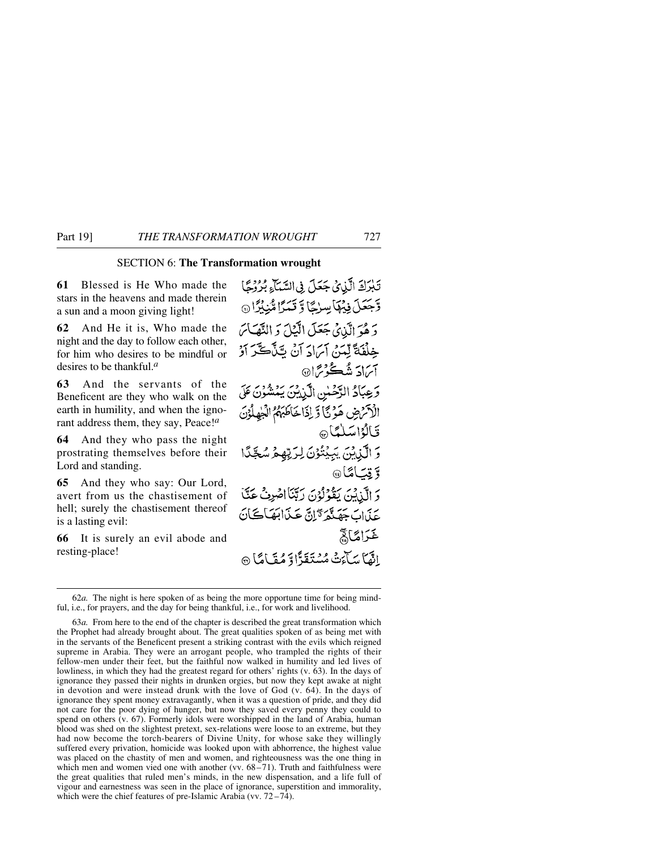**61** Blessed is He Who made the stars in the heavens and made therein a sun and a moon giving light!

**62** And He it is, Who made the night and the day to follow each other, for him who desires to be mindful or desires to be thankful.*<sup>a</sup>*

**63** And the servants of the Beneficent are they who walk on the earth in humility, and when the ignorant address them, they say, Peace!*<sup>a</sup>*

**64** And they who pass the night prostrating themselves before their Lord and standing.

**65** And they who say: Our Lord, avert from us the chastisement of hell; surely the chastisement thereof is a lasting evil:

**66** It is surely an evil abode and resting-place!

SECTION 6: **The Transformation wrought** وَّجَعَلَ فِيُهَا سِرْجًا وَ قَمَرًا مُّنِيْزًا @ دَهُوَ الَّذِي جَعَلَ الَّيْلَ وَ النَّهَائِمَ خِلْفَةً لِّمَنْ أَبَرَادَ أَنْ بَتَنَّكَّرَ أَزْ آبرادَ شُڪُوْبِرَا۞ وَعِبَادُ الرَّحْسِٰ الَّذِينَ يَمْشُونَ عَلَى الْأَكْرَضِ هَوْ نَا وَّ لِذَا خَاطَبَهُمُ الْجَهِلُوْنَ قالۇاسلىماھ 5 الَّذِينَ يَبِيُنُوْنَ لِرَبِّهِمُ سُجَّدً §قت)مَنَا® وَ الَّذِيْنَ يَقُوْلُوْنَ رَبَّنَا اصْرِفْ عَكَّ عَذَابَ جَهَنَّهُمَّ وَّإِنَّ عَذَابَهَا كَانَ خَرَامَنَا لِيَّ إِنَّهَا سَأَءَتْهُ مُسْتَقَدًّا وَ مُقَامًا ۞

<sup>62</sup>*a.* The night is here spoken of as being the more opportune time for being mindful, i.e., for prayers, and the day for being thankful, i.e., for work and livelihood.

<sup>63</sup>*a.* From here to the end of the chapter is described the great transformation which the Prophet had already brought about. The great qualities spoken of as being met with in the servants of the Beneficent present a striking contrast with the evils which reigned supreme in Arabia. They were an arrogant people, who trampled the rights of their fellow-men under their feet, but the faithful now walked in humility and led lives of lowliness, in which they had the greatest regard for others' rights (v. 63). In the days of ignorance they passed their nights in drunken orgies, but now they kept awake at night in devotion and were instead drunk with the love of God (v. 64). In the days of ignorance they spent money extravagantly, when it was a question of pride, and they did not care for the poor dying of hunger, but now they saved every penny they could to spend on others (v. 67). Formerly idols were worshipped in the land of Arabia, human blood was shed on the slightest pretext, sex-relations were loose to an extreme, but they had now become the torch-bearers of Divine Unity, for whose sake they willingly suffered every privation, homicide was looked upon with abhorrence, the highest value was placed on the chastity of men and women, and righteousness was the one thing in which men and women vied one with another (vv.  $68-71$ ). Truth and faithfulness were the great qualities that ruled men's minds, in the new dispensation, and a life full of vigour and earnestness was seen in the place of ignorance, superstition and immorality, which were the chief features of pre-Islamic Arabia (vv. 72–74).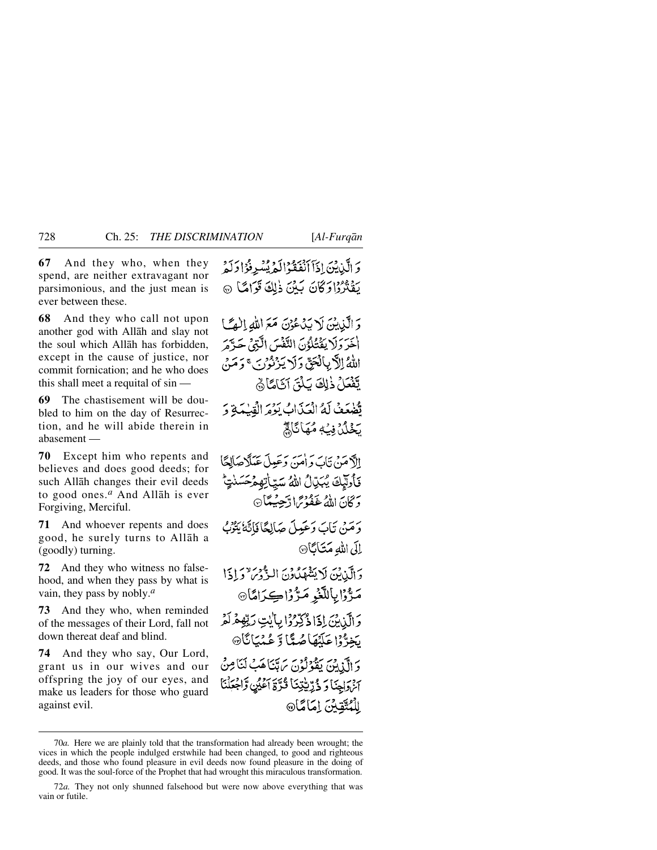**67** And they who, when they spend, are neither extravagant nor parsimonious, and the just mean is ever between these.

**68** And they who call not upon another god with Allåh and slay not the soul which Allåh has forbidden, except in the cause of justice, nor commit fornication; and he who does this shall meet a requital of sin —

**69** The chastisement will be dou-bled to him on the day of Resurrection, and he will abide therein in abasement —

**70** Except him who repents and believes and does good deeds; for such Allåh changes their evil deeds to good ones.*<sup>a</sup>* And Allåh is ever Forgiving, Merciful.

**71** And whoever repents and does good, he surely turns to Allåh a (goodly) turning.

**72** And they who witness no false-hood, and when they pass by what is vain, they pass by nobly.*<sup>a</sup>*

**73** And they who, when reminded of the messages of their Lord, fall not down thereat deaf and blind.

**74** And they who say, Our Lord, grant us in our wives and our offspring the joy of our eyes, and make us leaders for those who guard against evil.

وَ الَّذِينَ لَا يَدْعُوْنَ مَعَ اللَّهِ إِلَيْمَا أَخَرَ وَلَا يَقْتُلُوْنَ النَّفْسَ الَّذِي حَرَّمَ اللَّهُ إِلَّا بِالْعَقِّ وَلَا يَذْنُوْنِ ۚ وَحَدَبَ يَّفْعَلُ ذٰلِكَ يَلْقَ آثَامًا ۞ تُضْعَفُ لَهُ الْعَذَابُ بَوْمَ الْقَسْمَةِ وَ

يَخْلُلُ فِيَّةٍ مُّهَانَا لَمَّ

إلآدمَنْ تَابَ وَأُمَنَ وَعَيِيلَ عَبَلَاهَالِمَّا فَأُولَيْكَ يُبَيّالُ اللَّهُ سَيّاتِهِمْحَسَنْد وَكَانَ اللَّهُ عَفَوْتُمَا! دَّجِبُهِمَّا۞

دَمَنْ تَابَ دَعَيْلَ صَالِعًا فَاتَّهُ يَتْنُ الى اللهِ مَتَابًا۞

وَالَّذِينَ لَا يَشْهَدُونَ النُّهُوْمَ وَإِذَا مَرَّزَابِٱللَّغْبِ مَرَّزَاكِكِرَامَا۞ وَالَّذِينَ إِذَا ذُكِّرُوْا بِأَيْتِ رَبِّهِمْ لَمْ

بَخِرٌّ وۡا عَلَيۡهَا صُدًّا وَّ عُنۡيَا نَا۞ دَ الَّذِينَ بِقُوْلُونَ يَرَتَبْنَاهَبُ لَيْنَاهِنُّ آخ وَاجِنَا وَ ذُرِّيَّتِنَا قُدَّةَ أَعْيُنِ وَّاجْعَلْنَا لِلْمُتَّقِيِّنَ إِمَامَّا®

وَ الَّذِيْنَ إِذَآ ٱنْفَقَٰدُالَّهُ يُسۡبِرِفُوۡ الْرَكَّهُ يَقْتُرُدُا وَكَانَ بَيْنَ ذٰلِكَ قَوَامًا ۞

<sup>70</sup>*a.* Here we are plainly told that the transformation had already been wrought; the vices in which the people indulged erstwhile had been changed, to good and righteous deeds, and those who found pleasure in evil deeds now found pleasure in the doing of good. It was the soul-force of the Prophet that had wrought this miraculous transformation.

<sup>72</sup>*a.* They not only shunned falsehood but were now above everything that was vain or futile.